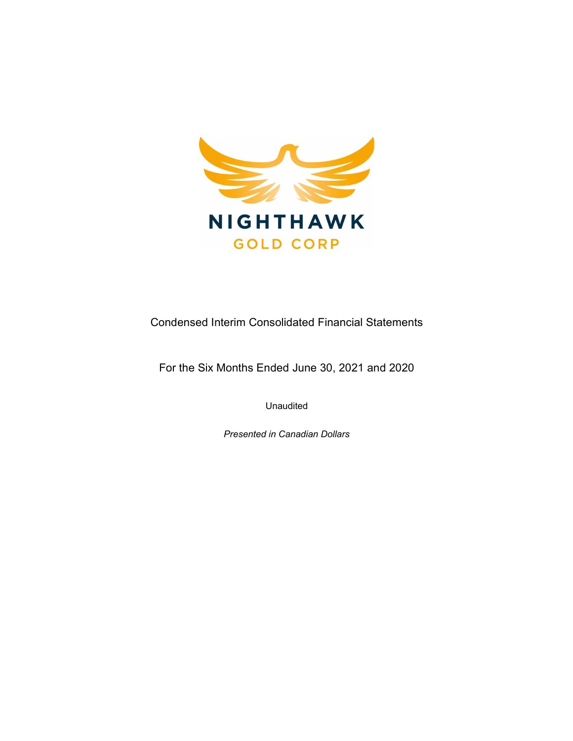

Condensed Interim Consolidated Financial Statements

For the Six Months Ended June 30, 2021 and 2020

Unaudited

Presented in Canadian Dollars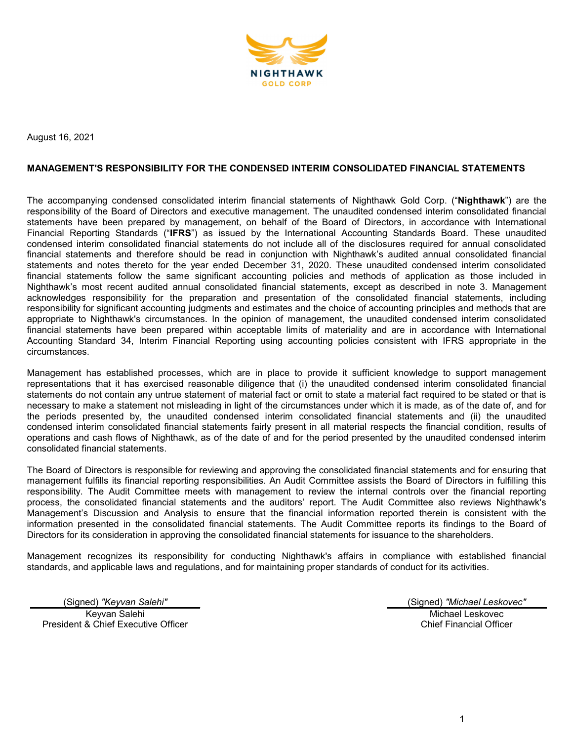

August 16, 2021

#### MANAGEMENT'S RESPONSIBILITY FOR THE CONDENSED INTERIM CONSOLIDATED FINANCIAL STATEMENTS

The accompanying condensed consolidated interim financial statements of Nighthawk Gold Corp. ("Nighthawk") are the responsibility of the Board of Directors and executive management. The unaudited condensed interim consolidated financial statements have been prepared by management, on behalf of the Board of Directors, in accordance with International Financial Reporting Standards ("IFRS") as issued by the International Accounting Standards Board. These unaudited condensed interim consolidated financial statements do not include all of the disclosures required for annual consolidated financial statements and therefore should be read in conjunction with Nighthawk's audited annual consolidated financial statements and notes thereto for the year ended December 31, 2020. These unaudited condensed interim consolidated financial statements follow the same significant accounting policies and methods of application as those included in Nighthawk's most recent audited annual consolidated financial statements, except as described in note 3. Management acknowledges responsibility for the preparation and presentation of the consolidated financial statements, including responsibility for significant accounting judgments and estimates and the choice of accounting principles and methods that are appropriate to Nighthawk's circumstances. In the opinion of management, the unaudited condensed interim consolidated financial statements have been prepared within acceptable limits of materiality and are in accordance with International Accounting Standard 34, Interim Financial Reporting using accounting policies consistent with IFRS appropriate in the circumstances.

Management has established processes, which are in place to provide it sufficient knowledge to support management representations that it has exercised reasonable diligence that (i) the unaudited condensed interim consolidated financial statements do not contain any untrue statement of material fact or omit to state a material fact required to be stated or that is necessary to make a statement not misleading in light of the circumstances under which it is made, as of the date of, and for the periods presented by, the unaudited condensed interim consolidated financial statements and (ii) the unaudited condensed interim consolidated financial statements fairly present in all material respects the financial condition, results of operations and cash flows of Nighthawk, as of the date of and for the period presented by the unaudited condensed interim consolidated financial statements.

The Board of Directors is responsible for reviewing and approving the consolidated financial statements and for ensuring that management fulfills its financial reporting responsibilities. An Audit Committee assists the Board of Directors in fulfilling this responsibility. The Audit Committee meets with management to review the internal controls over the financial reporting process, the consolidated financial statements and the auditors' report. The Audit Committee also reviews Nighthawk's Management's Discussion and Analysis to ensure that the financial information reported therein is consistent with the information presented in the consolidated financial statements. The Audit Committee reports its findings to the Board of Directors for its consideration in approving the consolidated financial statements for issuance to the shareholders.

Management recognizes its responsibility for conducting Nighthawk's affairs in compliance with established financial standards, and applicable laws and regulations, and for maintaining proper standards of conduct for its activities.

(Signed) "Keyvan Salehi" (Signed) "Michael Leskovec" Keyvan Salehi President & Chief Executive Officer

Michael Leskovec Chief Financial Officer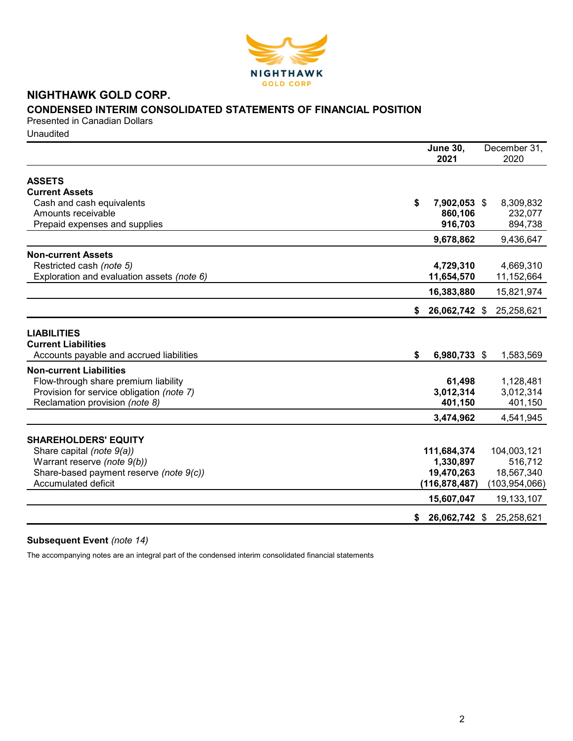

## NIGHTHAWK GOLD CORP. CONDENSED INTERIM CONSOLIDATED STATEMENTS OF FINANCIAL POSITION

Presented in Canadian Dollars **Unaudited** 

|                                                                                              | <b>June 30,</b><br>2021 | December 31,<br>2020 |
|----------------------------------------------------------------------------------------------|-------------------------|----------------------|
| <b>ASSETS</b>                                                                                |                         |                      |
| <b>Current Assets</b>                                                                        |                         |                      |
| Cash and cash equivalents                                                                    | \$<br>7,902,053 \$      | 8,309,832            |
| Amounts receivable                                                                           | 860,106                 | 232,077              |
| Prepaid expenses and supplies                                                                | 916,703                 | 894,738              |
|                                                                                              | 9,678,862               | 9,436,647            |
| <b>Non-current Assets</b>                                                                    |                         |                      |
| Restricted cash (note 5)                                                                     | 4,729,310               | 4,669,310            |
| Exploration and evaluation assets (note 6)                                                   | 11,654,570              | 11,152,664           |
|                                                                                              | 16,383,880              | 15,821,974           |
|                                                                                              | 26,062,742 \$<br>S.     | 25,258,621           |
| <b>LIABILITIES</b><br><b>Current Liabilities</b><br>Accounts payable and accrued liabilities | \$<br>6,980,733 \$      | 1,583,569            |
| <b>Non-current Liabilities</b>                                                               |                         |                      |
| Flow-through share premium liability                                                         | 61,498                  | 1,128,481            |
| Provision for service obligation (note 7)                                                    | 3,012,314               | 3,012,314            |
| Reclamation provision (note 8)                                                               | 401,150                 | 401,150              |
|                                                                                              | 3,474,962               | 4,541,945            |
| <b>SHAREHOLDERS' EQUITY</b>                                                                  |                         |                      |
| Share capital (note 9(a))                                                                    | 111,684,374             | 104,003,121          |
| Warrant reserve (note 9(b))                                                                  | 1,330,897               | 516,712              |
| Share-based payment reserve (note 9(c))                                                      | 19,470,263              | 18,567,340           |
| <b>Accumulated deficit</b>                                                                   | (116, 878, 487)         | (103, 954, 066)      |
|                                                                                              | 15,607,047              | 19,133,107           |
|                                                                                              | 26,062,742 \$<br>S.     | 25,258,621           |

### Subsequent Event (note 14)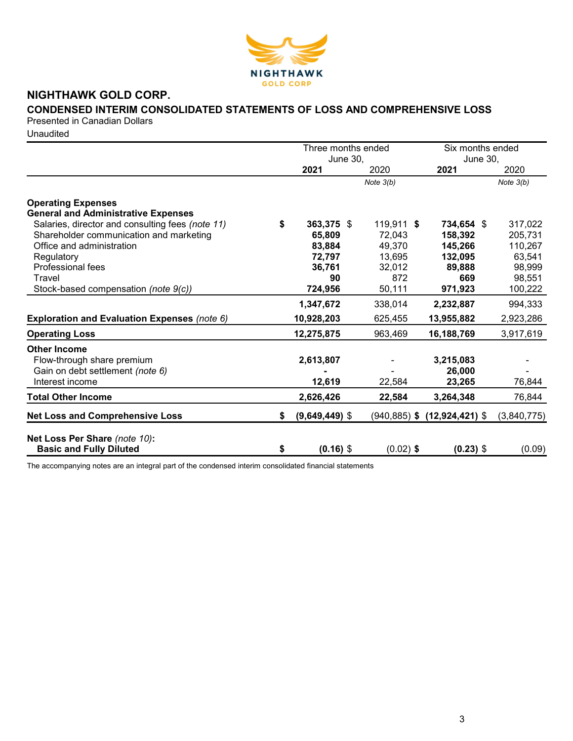

# NIGHTHAWK GOLD CORP.

## CONDENSED INTERIM CONSOLIDATED STATEMENTS OF LOSS AND COMPREHENSIVE LOSS

Presented in Canadian Dollars

**Unaudited** 

|                                                                 |    | Three months ended      |                 | Six months ended        |             |  |
|-----------------------------------------------------------------|----|-------------------------|-----------------|-------------------------|-------------|--|
|                                                                 |    | <b>June 30,</b><br>2021 | 2020            | <b>June 30,</b><br>2021 | 2020        |  |
|                                                                 |    |                         | Note $3(b)$     |                         | Note $3(b)$ |  |
| <b>Operating Expenses</b>                                       |    |                         |                 |                         |             |  |
| <b>General and Administrative Expenses</b>                      |    |                         |                 |                         |             |  |
| Salaries, director and consulting fees (note 11)                | S  | 363,375 \$              | 119,911 \$      | 734,654 \$              | 317,022     |  |
| Shareholder communication and marketing                         |    | 65,809                  | 72,043          | 158,392                 | 205,731     |  |
| Office and administration                                       |    | 83,884                  | 49,370          | 145,266                 | 110,267     |  |
| Regulatory                                                      |    | 72,797                  | 13,695          | 132,095                 | 63,541      |  |
| <b>Professional fees</b>                                        |    | 36,761                  | 32,012          | 89,888                  | 98,999      |  |
| Travel                                                          |    | 90                      | 872             | 669                     | 98,551      |  |
| Stock-based compensation (note 9(c))                            |    | 724,956                 | 50,111          | 971,923                 | 100,222     |  |
|                                                                 |    | 1,347,672               | 338,014         | 2,232,887               | 994,333     |  |
| Exploration and Evaluation Expenses (note 6)                    |    | 10,928,203              | 625,455         | 13,955,882              | 2,923,286   |  |
| <b>Operating Loss</b>                                           |    | 12,275,875              | 963,469         | 16,188,769              | 3,917,619   |  |
| <b>Other Income</b>                                             |    |                         |                 |                         |             |  |
| Flow-through share premium                                      |    | 2,613,807               |                 | 3,215,083               |             |  |
| Gain on debt settlement (note 6)                                |    |                         |                 | 26,000                  |             |  |
| Interest income                                                 |    | 12,619                  | 22,584          | 23,265                  | 76,844      |  |
| <b>Total Other Income</b>                                       |    | 2,626,426               | 22,584          | 3,264,348               | 76,844      |  |
| <b>Net Loss and Comprehensive Loss</b>                          | \$ | $(9,649,449)$ \$        | $(940, 885)$ \$ | $(12, 924, 421)$ \$     | (3,840,775) |  |
|                                                                 |    |                         |                 |                         |             |  |
| Net Loss Per Share (note 10):<br><b>Basic and Fully Diluted</b> | \$ | $(0.16)$ \$             | $(0.02)$ \$     | $(0.23)$ \$             | (0.09)      |  |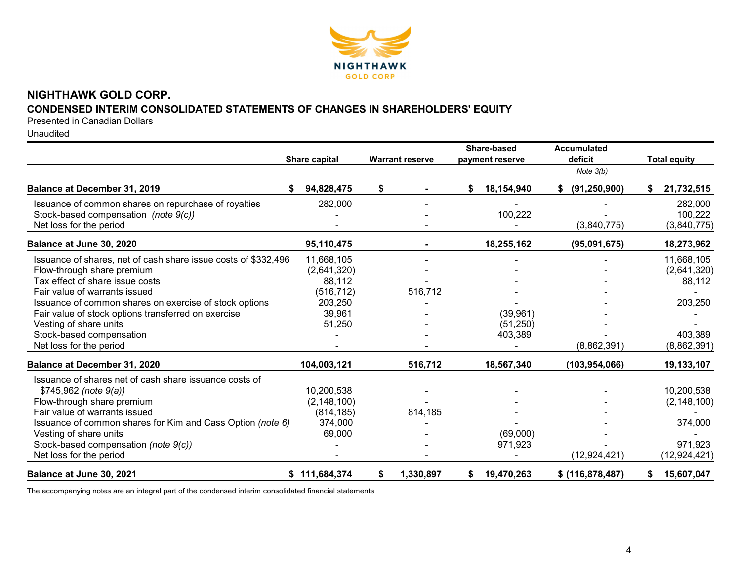

## NIGHTHAWK GOLD CORP. CONDENSED INTERIM CONSOLIDATED STATEMENTS OF CHANGES IN SHAREHOLDERS' EQUITY

Presented in Canadian Dollars

Unaudited

|                                                                | Share capital | <b>Warrant reserve</b> |           | Share-based<br>payment reserve |            | Accumulated<br>deficit |                  |   | <b>Total equity</b> |
|----------------------------------------------------------------|---------------|------------------------|-----------|--------------------------------|------------|------------------------|------------------|---|---------------------|
|                                                                |               |                        |           |                                |            |                        | Note $3(b)$      |   |                     |
| Balance at December 31, 2019                                   | 94,828,475    | \$                     |           | \$                             | 18,154,940 | S.                     | (91, 250, 900)   | S | 21,732,515          |
| Issuance of common shares on repurchase of royalties           | 282,000       |                        |           |                                |            |                        |                  |   | 282,000             |
| Stock-based compensation (note 9(c))                           |               |                        |           |                                | 100,222    |                        |                  |   | 100,222             |
| Net loss for the period                                        |               |                        |           |                                |            |                        | (3,840,775)      |   | (3,840,775)         |
| Balance at June 30, 2020                                       | 95,110,475    |                        |           |                                | 18,255,162 |                        | (95,091,675)     |   | 18,273,962          |
| Issuance of shares, net of cash share issue costs of \$332,496 | 11,668,105    |                        |           |                                |            |                        |                  |   | 11,668,105          |
| Flow-through share premium                                     | (2,641,320)   |                        |           |                                |            |                        |                  |   | (2,641,320)         |
| Tax effect of share issue costs                                | 88,112        |                        |           |                                |            |                        |                  |   | 88,112              |
| Fair value of warrants issued                                  | (516, 712)    |                        | 516,712   |                                |            |                        |                  |   |                     |
| Issuance of common shares on exercise of stock options         | 203,250       |                        |           |                                |            |                        |                  |   | 203,250             |
| Fair value of stock options transferred on exercise            | 39,961        |                        |           |                                | (39,961)   |                        |                  |   |                     |
| Vesting of share units                                         | 51,250        |                        |           |                                | (51, 250)  |                        |                  |   |                     |
| Stock-based compensation                                       |               |                        |           |                                | 403,389    |                        |                  |   | 403,389             |
| Net loss for the period                                        |               |                        |           |                                |            |                        | (8,862,391)      |   | (8,862,391)         |
| Balance at December 31, 2020                                   | 104,003,121   |                        | 516,712   |                                | 18,567,340 |                        | (103, 954, 066)  |   | 19,133,107          |
| Issuance of shares net of cash share issuance costs of         |               |                        |           |                                |            |                        |                  |   |                     |
| $$745,962$ (note $9(a)$ )                                      | 10,200,538    |                        |           |                                |            |                        |                  |   | 10,200,538          |
| Flow-through share premium                                     | (2, 148, 100) |                        |           |                                |            |                        |                  |   | (2, 148, 100)       |
| Fair value of warrants issued                                  | (814, 185)    |                        | 814,185   |                                |            |                        |                  |   |                     |
| Issuance of common shares for Kim and Cass Option (note 6)     | 374,000       |                        |           |                                |            |                        |                  |   | 374,000             |
| Vesting of share units                                         | 69,000        |                        |           |                                | (69,000)   |                        |                  |   |                     |
| Stock-based compensation (note 9(c))                           |               |                        |           |                                | 971,923    |                        |                  |   | 971,923             |
| Net loss for the period                                        |               |                        |           |                                |            |                        | (12, 924, 421)   |   | (12, 924, 421)      |
| Balance at June 30, 2021                                       | \$111,684,374 | \$                     | 1,330,897 | S.                             | 19,470,263 |                        | \$ (116,878,487) |   | 15,607,047          |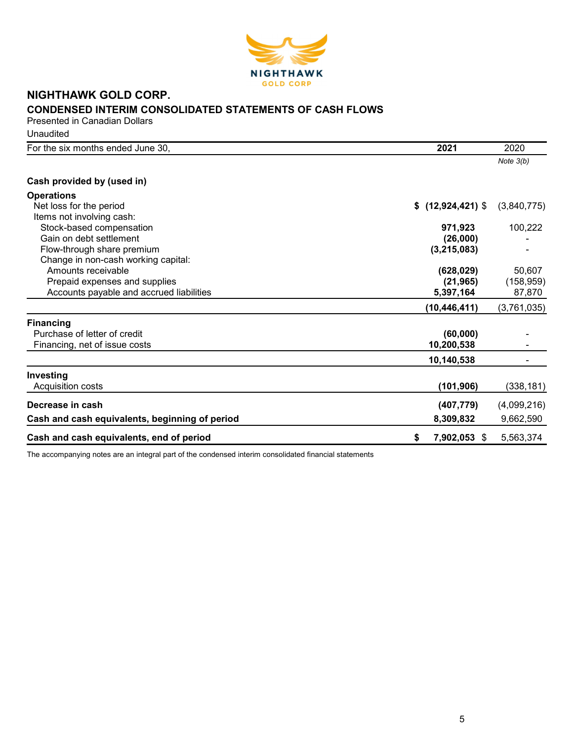

# NIGHTHAWK GOLD CORP. CONDENSED INTERIM CONSOLIDATED STATEMENTS OF CASH FLOWS

Presented in Canadian Dollars **Unaudited** 

| For the six months ended June 30,              | 2021               | 2020        |
|------------------------------------------------|--------------------|-------------|
|                                                |                    | Note $3(b)$ |
| Cash provided by (used in)                     |                    |             |
| <b>Operations</b>                              |                    |             |
| Net loss for the period                        | \$(12, 924, 421)   | (3,840,775) |
| Items not involving cash:                      |                    |             |
| Stock-based compensation                       | 971,923            | 100,222     |
| Gain on debt settlement                        | (26,000)           |             |
| Flow-through share premium                     | (3, 215, 083)      |             |
| Change in non-cash working capital:            |                    |             |
| Amounts receivable                             | (628, 029)         | 50,607      |
| Prepaid expenses and supplies                  | (21, 965)          | (158, 959)  |
| Accounts payable and accrued liabilities       | 5,397,164          | 87,870      |
|                                                | (10, 446, 411)     | (3,761,035) |
| <b>Financing</b>                               |                    |             |
| Purchase of letter of credit                   | (60,000)           |             |
| Financing, net of issue costs                  | 10,200,538         |             |
|                                                | 10,140,538         |             |
| Investing                                      |                    |             |
| Acquisition costs                              | (101, 906)         | (338,181)   |
| Decrease in cash                               | (407, 779)         | (4,099,216) |
| Cash and cash equivalents, beginning of period | 8,309,832          | 9,662,590   |
| Cash and cash equivalents, end of period       | 7,902,053 \$<br>\$ | 5,563,374   |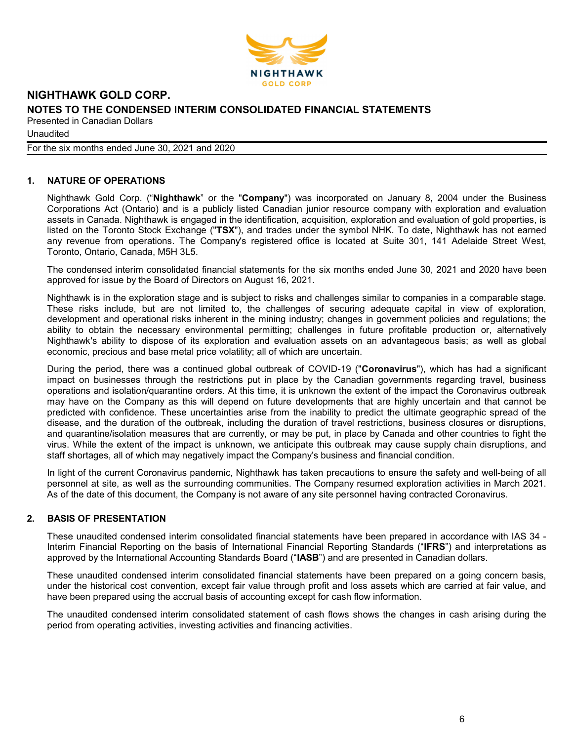

**Unaudited** 

For the six months ended June 30, 2021 and 2020

### 1. NATURE OF OPERATIONS

Nighthawk Gold Corp. ("Nighthawk" or the "Company") was incorporated on January 8, 2004 under the Business Corporations Act (Ontario) and is a publicly listed Canadian junior resource company with exploration and evaluation assets in Canada. Nighthawk is engaged in the identification, acquisition, exploration and evaluation of gold properties, is listed on the Toronto Stock Exchange ("TSX"), and trades under the symbol NHK. To date, Nighthawk has not earned any revenue from operations. The Company's registered office is located at Suite 301, 141 Adelaide Street West, Toronto, Ontario, Canada, M5H 3L5.

The condensed interim consolidated financial statements for the six months ended June 30, 2021 and 2020 have been approved for issue by the Board of Directors on August 16, 2021.

Nighthawk is in the exploration stage and is subject to risks and challenges similar to companies in a comparable stage. These risks include, but are not limited to, the challenges of securing adequate capital in view of exploration, development and operational risks inherent in the mining industry; changes in government policies and regulations; the ability to obtain the necessary environmental permitting; challenges in future profitable production or, alternatively Nighthawk's ability to dispose of its exploration and evaluation assets on an advantageous basis; as well as global economic, precious and base metal price volatility; all of which are uncertain.

During the period, there was a continued global outbreak of COVID-19 ("Coronavirus"), which has had a significant impact on businesses through the restrictions put in place by the Canadian governments regarding travel, business operations and isolation/quarantine orders. At this time, it is unknown the extent of the impact the Coronavirus outbreak may have on the Company as this will depend on future developments that are highly uncertain and that cannot be predicted with confidence. These uncertainties arise from the inability to predict the ultimate geographic spread of the disease, and the duration of the outbreak, including the duration of travel restrictions, business closures or disruptions, and quarantine/isolation measures that are currently, or may be put, in place by Canada and other countries to fight the virus. While the extent of the impact is unknown, we anticipate this outbreak may cause supply chain disruptions, and staff shortages, all of which may negatively impact the Company's business and financial condition.

In light of the current Coronavirus pandemic, Nighthawk has taken precautions to ensure the safety and well-being of all personnel at site, as well as the surrounding communities. The Company resumed exploration activities in March 2021. As of the date of this document, the Company is not aware of any site personnel having contracted Coronavirus.

### 2. BASIS OF PRESENTATION

These unaudited condensed interim consolidated financial statements have been prepared in accordance with IAS 34 - Interim Financial Reporting on the basis of International Financial Reporting Standards ("IFRS") and interpretations as approved by the International Accounting Standards Board ("IASB") and are presented in Canadian dollars.

These unaudited condensed interim consolidated financial statements have been prepared on a going concern basis, under the historical cost convention, except fair value through profit and loss assets which are carried at fair value, and have been prepared using the accrual basis of accounting except for cash flow information.

The unaudited condensed interim consolidated statement of cash flows shows the changes in cash arising during the period from operating activities, investing activities and financing activities.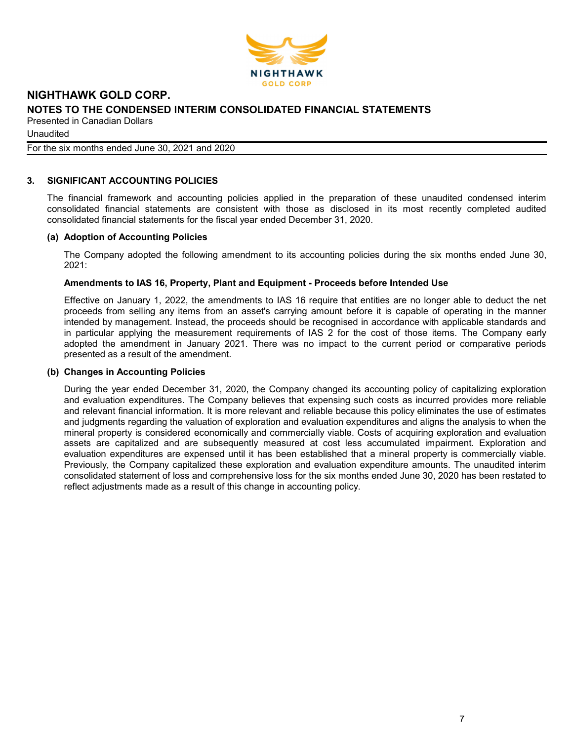

Unaudited

For the six months ended June 30, 2021 and 2020

### 3. SIGNIFICANT ACCOUNTING POLICIES

The financial framework and accounting policies applied in the preparation of these unaudited condensed interim consolidated financial statements are consistent with those as disclosed in its most recently completed audited consolidated financial statements for the fiscal year ended December 31, 2020.

#### (a) Adoption of Accounting Policies

The Company adopted the following amendment to its accounting policies during the six months ended June 30, 2021:

#### Amendments to IAS 16, Property, Plant and Equipment - Proceeds before Intended Use

Effective on January 1, 2022, the amendments to IAS 16 require that entities are no longer able to deduct the net proceeds from selling any items from an asset's carrying amount before it is capable of operating in the manner intended by management. Instead, the proceeds should be recognised in accordance with applicable standards and in particular applying the measurement requirements of IAS 2 for the cost of those items. The Company early adopted the amendment in January 2021. There was no impact to the current period or comparative periods presented as a result of the amendment.

#### (b) Changes in Accounting Policies

During the year ended December 31, 2020, the Company changed its accounting policy of capitalizing exploration and evaluation expenditures. The Company believes that expensing such costs as incurred provides more reliable and relevant financial information. It is more relevant and reliable because this policy eliminates the use of estimates and judgments regarding the valuation of exploration and evaluation expenditures and aligns the analysis to when the mineral property is considered economically and commercially viable. Costs of acquiring exploration and evaluation assets are capitalized and are subsequently measured at cost less accumulated impairment. Exploration and evaluation expenditures are expensed until it has been established that a mineral property is commercially viable. Previously, the Company capitalized these exploration and evaluation expenditure amounts. The unaudited interim consolidated statement of loss and comprehensive loss for the six months ended June 30, 2020 has been restated to reflect adjustments made as a result of this change in accounting policy.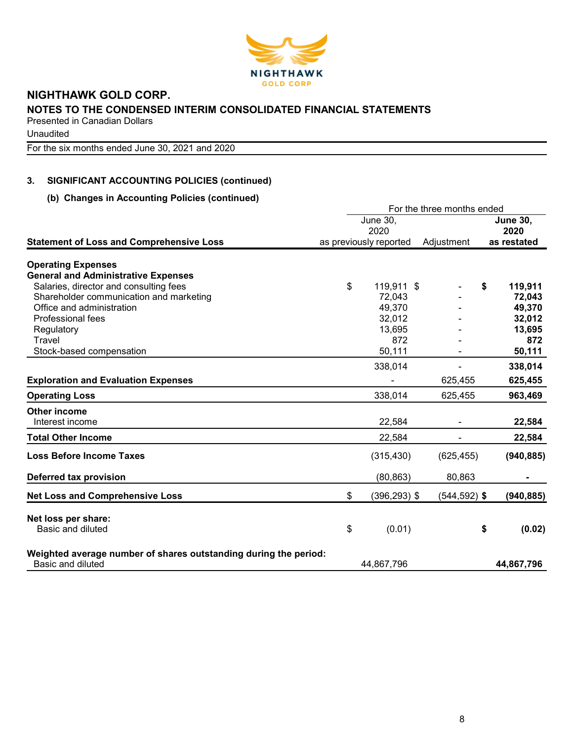

**Unaudited** 

For the six months ended June 30, 2021 and 2020

## 3. SIGNIFICANT ACCOUNTING POLICIES (continued)

### (b) Changes in Accounting Policies (continued)

|                                                                  |    | For the three months ended |                 |    |                         |  |  |  |
|------------------------------------------------------------------|----|----------------------------|-----------------|----|-------------------------|--|--|--|
|                                                                  |    | June 30,<br>2020           |                 |    | <b>June 30,</b><br>2020 |  |  |  |
| <b>Statement of Loss and Comprehensive Loss</b>                  |    | as previously reported     | Adjustment      |    | as restated             |  |  |  |
| <b>Operating Expenses</b>                                        |    |                            |                 |    |                         |  |  |  |
| <b>General and Administrative Expenses</b>                       |    |                            |                 |    |                         |  |  |  |
| Salaries, director and consulting fees                           | \$ | 119,911 \$                 |                 | S  | 119,911                 |  |  |  |
| Shareholder communication and marketing                          |    | 72,043                     |                 |    | 72,043                  |  |  |  |
| Office and administration                                        |    | 49,370                     |                 |    | 49,370                  |  |  |  |
| <b>Professional fees</b>                                         |    | 32,012                     |                 |    | 32,012                  |  |  |  |
| Regulatory                                                       |    | 13,695                     |                 |    | 13,695                  |  |  |  |
| Travel                                                           |    | 872                        |                 |    | 872                     |  |  |  |
| Stock-based compensation                                         |    | 50,111                     |                 |    | 50,111                  |  |  |  |
|                                                                  |    | 338,014                    |                 |    | 338,014                 |  |  |  |
| <b>Exploration and Evaluation Expenses</b>                       |    |                            | 625,455         |    | 625,455                 |  |  |  |
| <b>Operating Loss</b>                                            |    | 338,014                    | 625,455         |    | 963,469                 |  |  |  |
| <b>Other income</b>                                              |    |                            |                 |    |                         |  |  |  |
| Interest income                                                  |    | 22,584                     | ۰               |    | 22,584                  |  |  |  |
| <b>Total Other Income</b>                                        |    | 22,584                     |                 |    | 22,584                  |  |  |  |
| <b>Loss Before Income Taxes</b>                                  |    | (315, 430)                 | (625, 455)      |    | (940, 885)              |  |  |  |
| Deferred tax provision                                           |    | (80, 863)                  | 80,863          |    |                         |  |  |  |
| <b>Net Loss and Comprehensive Loss</b>                           | \$ | $(396, 293)$ \$            | $(544, 592)$ \$ |    | (940, 885)              |  |  |  |
| Net loss per share:                                              |    |                            |                 |    |                         |  |  |  |
| Basic and diluted                                                | \$ | (0.01)                     |                 | \$ | (0.02)                  |  |  |  |
| Weighted average number of shares outstanding during the period: |    |                            |                 |    |                         |  |  |  |
| Basic and diluted                                                |    | 44,867,796                 |                 |    | 44,867,796              |  |  |  |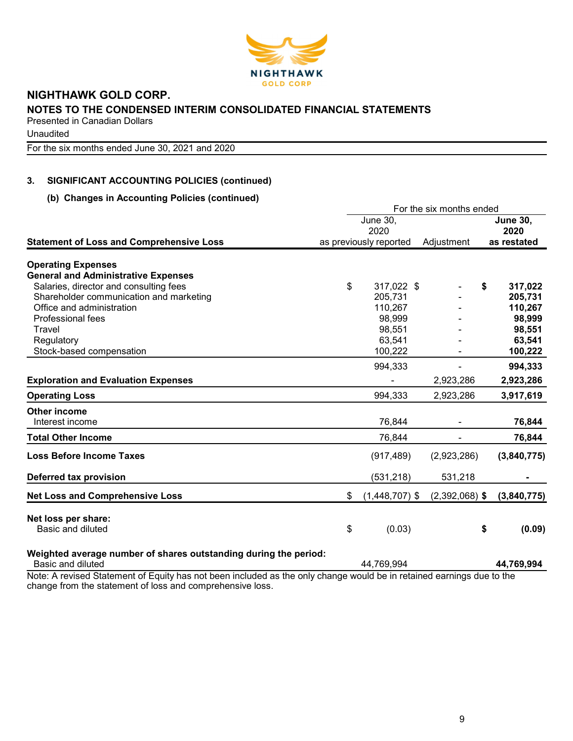

Unaudited

For the six months ended June 30, 2021 and 2020

## 3. SIGNIFICANT ACCOUNTING POLICIES (continued)

### (b) Changes in Accounting Policies (continued)

|                                                                                                                                                                                                                |    | For the six months ended |                  |    |                 |
|----------------------------------------------------------------------------------------------------------------------------------------------------------------------------------------------------------------|----|--------------------------|------------------|----|-----------------|
|                                                                                                                                                                                                                |    | June 30,                 |                  |    | <b>June 30,</b> |
|                                                                                                                                                                                                                |    | 2020                     |                  |    | 2020            |
| <b>Statement of Loss and Comprehensive Loss</b>                                                                                                                                                                |    | as previously reported   | Adjustment       |    | as restated     |
| <b>Operating Expenses</b>                                                                                                                                                                                      |    |                          |                  |    |                 |
| <b>General and Administrative Expenses</b>                                                                                                                                                                     |    |                          |                  |    |                 |
| Salaries, director and consulting fees                                                                                                                                                                         | \$ | 317,022 \$               |                  | S  | 317,022         |
| Shareholder communication and marketing                                                                                                                                                                        |    | 205,731                  |                  |    | 205,731         |
| Office and administration                                                                                                                                                                                      |    | 110,267                  |                  |    | 110,267         |
| Professional fees                                                                                                                                                                                              |    | 98,999                   |                  |    | 98,999          |
| Travel                                                                                                                                                                                                         |    | 98,551                   |                  |    | 98,551          |
| Regulatory                                                                                                                                                                                                     |    | 63,541                   |                  |    | 63,541          |
| Stock-based compensation                                                                                                                                                                                       |    | 100,222                  |                  |    | 100,222         |
|                                                                                                                                                                                                                |    | 994,333                  |                  |    | 994,333         |
| <b>Exploration and Evaluation Expenses</b>                                                                                                                                                                     |    |                          | 2,923,286        |    | 2,923,286       |
| <b>Operating Loss</b>                                                                                                                                                                                          |    | 994,333                  | 2,923,286        |    | 3,917,619       |
| Other income                                                                                                                                                                                                   |    |                          |                  |    |                 |
| Interest income                                                                                                                                                                                                |    | 76,844                   |                  |    | 76,844          |
| <b>Total Other Income</b>                                                                                                                                                                                      |    | 76,844                   |                  |    | 76,844          |
| <b>Loss Before Income Taxes</b>                                                                                                                                                                                |    | (917, 489)               | (2,923,286)      |    | (3,840,775)     |
| Deferred tax provision                                                                                                                                                                                         |    | (531, 218)               | 531,218          |    |                 |
| <b>Net Loss and Comprehensive Loss</b>                                                                                                                                                                         | \$ | $(1,448,707)$ \$         | $(2,392,068)$ \$ |    | (3,840,775)     |
| Net loss per share:                                                                                                                                                                                            |    |                          |                  |    |                 |
| Basic and diluted                                                                                                                                                                                              | \$ | (0.03)                   |                  | \$ | (0.09)          |
| Weighted average number of shares outstanding during the period:<br>Basic and diluted<br>Note: A revised Statement of Equity bee not been included as the epix shapes would be in retained corpings due to the |    | 44,769,994               |                  |    | 44,769,994      |

Note: A revised Statement of Equity has not been included as the only change would be in retained earnings due to the change from the statement of loss and comprehensive loss.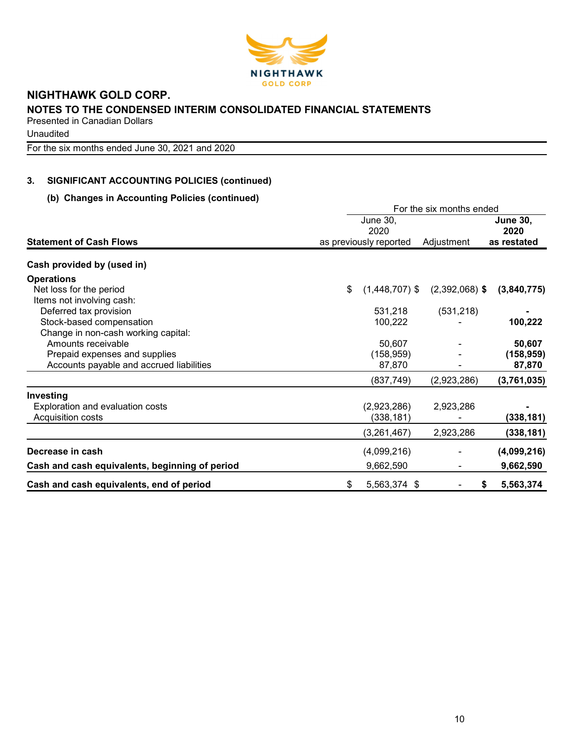

**Unaudited** 

For the six months ended June 30, 2021 and 2020

## 3. SIGNIFICANT ACCOUNTING POLICIES (continued)

### (b) Changes in Accounting Policies (continued)

|                                                | For the six months ended |                         |                  |                         |  |  |  |
|------------------------------------------------|--------------------------|-------------------------|------------------|-------------------------|--|--|--|
|                                                |                          | <b>June 30,</b><br>2020 |                  | <b>June 30,</b><br>2020 |  |  |  |
| <b>Statement of Cash Flows</b>                 |                          | as previously reported  | Adjustment       | as restated             |  |  |  |
| Cash provided by (used in)                     |                          |                         |                  |                         |  |  |  |
| <b>Operations</b>                              |                          |                         |                  |                         |  |  |  |
| Net loss for the period                        | \$                       | $(1,448,707)$ \$        | $(2,392,068)$ \$ | (3,840,775)             |  |  |  |
| Items not involving cash:                      |                          |                         |                  |                         |  |  |  |
| Deferred tax provision                         |                          | 531,218                 | (531, 218)       |                         |  |  |  |
| Stock-based compensation                       |                          | 100,222                 |                  | 100,222                 |  |  |  |
| Change in non-cash working capital:            |                          |                         |                  |                         |  |  |  |
| Amounts receivable                             |                          | 50,607                  |                  | 50,607                  |  |  |  |
| Prepaid expenses and supplies                  |                          | (158, 959)              |                  | (158, 959)              |  |  |  |
| Accounts payable and accrued liabilities       |                          | 87,870                  |                  | 87,870                  |  |  |  |
|                                                |                          | (837, 749)              | (2,923,286)      | (3,761,035)             |  |  |  |
| Investing                                      |                          |                         |                  |                         |  |  |  |
| Exploration and evaluation costs               |                          | (2,923,286)             | 2,923,286        |                         |  |  |  |
| Acquisition costs                              |                          | (338,181)               |                  | (338,181)               |  |  |  |
|                                                |                          | (3,261,467)             | 2,923,286        | (338, 181)              |  |  |  |
| Decrease in cash                               |                          | (4,099,216)             |                  | (4,099,216)             |  |  |  |
| Cash and cash equivalents, beginning of period |                          | 9,662,590               |                  | 9,662,590               |  |  |  |
| Cash and cash equivalents, end of period       | \$                       | 5,563,374 \$            | \$               | 5,563,374               |  |  |  |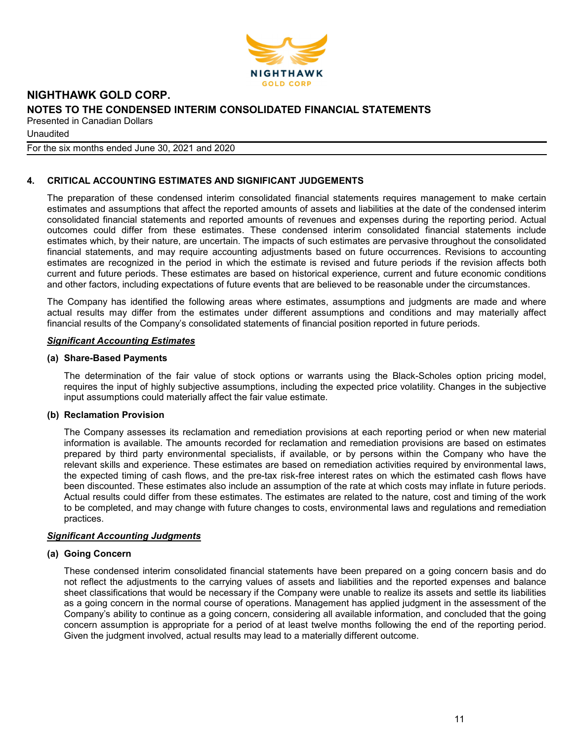

**Unaudited** 

For the six months ended June 30, 2021 and 2020

### 4. CRITICAL ACCOUNTING ESTIMATES AND SIGNIFICANT JUDGEMENTS

The preparation of these condensed interim consolidated financial statements requires management to make certain estimates and assumptions that affect the reported amounts of assets and liabilities at the date of the condensed interim consolidated financial statements and reported amounts of revenues and expenses during the reporting period. Actual outcomes could differ from these estimates. These condensed interim consolidated financial statements include estimates which, by their nature, are uncertain. The impacts of such estimates are pervasive throughout the consolidated financial statements, and may require accounting adjustments based on future occurrences. Revisions to accounting estimates are recognized in the period in which the estimate is revised and future periods if the revision affects both current and future periods. These estimates are based on historical experience, current and future economic conditions and other factors, including expectations of future events that are believed to be reasonable under the circumstances.

The Company has identified the following areas where estimates, assumptions and judgments are made and where actual results may differ from the estimates under different assumptions and conditions and may materially affect financial results of the Company's consolidated statements of financial position reported in future periods.

#### Significant Accounting Estimates

#### (a) Share-Based Payments

The determination of the fair value of stock options or warrants using the Black-Scholes option pricing model, requires the input of highly subjective assumptions, including the expected price volatility. Changes in the subjective input assumptions could materially affect the fair value estimate.

#### (b) Reclamation Provision

The Company assesses its reclamation and remediation provisions at each reporting period or when new material information is available. The amounts recorded for reclamation and remediation provisions are based on estimates prepared by third party environmental specialists, if available, or by persons within the Company who have the relevant skills and experience. These estimates are based on remediation activities required by environmental laws, the expected timing of cash flows, and the pre-tax risk-free interest rates on which the estimated cash flows have been discounted. These estimates also include an assumption of the rate at which costs may inflate in future periods. Actual results could differ from these estimates. The estimates are related to the nature, cost and timing of the work to be completed, and may change with future changes to costs, environmental laws and regulations and remediation practices.

#### Significant Accounting Judgments

#### (a) Going Concern

These condensed interim consolidated financial statements have been prepared on a going concern basis and do not reflect the adjustments to the carrying values of assets and liabilities and the reported expenses and balance sheet classifications that would be necessary if the Company were unable to realize its assets and settle its liabilities as a going concern in the normal course of operations. Management has applied judgment in the assessment of the Company's ability to continue as a going concern, considering all available information, and concluded that the going concern assumption is appropriate for a period of at least twelve months following the end of the reporting period. Given the judgment involved, actual results may lead to a materially different outcome.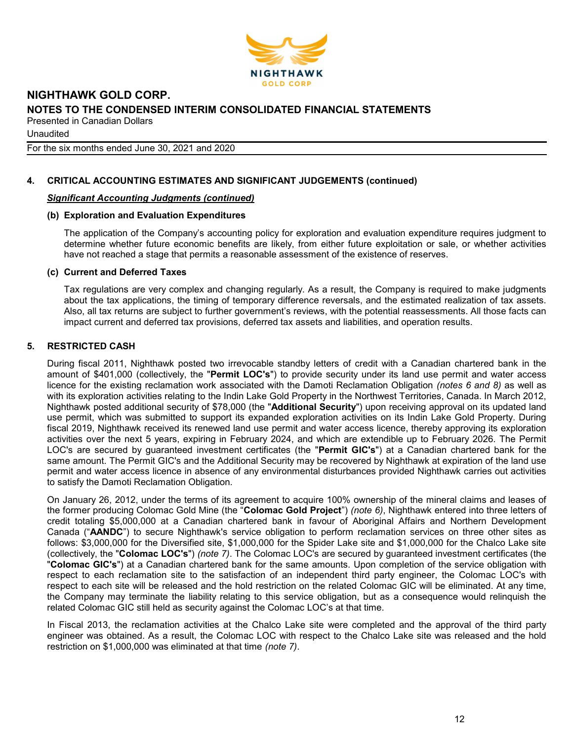

For the six months ended June 30, 2021 and 2020

## 4. CRITICAL ACCOUNTING ESTIMATES AND SIGNIFICANT JUDGEMENTS (continued)

### Significant Accounting Judgments (continued)

### (b) Exploration and Evaluation Expenditures

The application of the Company's accounting policy for exploration and evaluation expenditure requires judgment to determine whether future economic benefits are likely, from either future exploitation or sale, or whether activities have not reached a stage that permits a reasonable assessment of the existence of reserves.

### (c) Current and Deferred Taxes

Tax regulations are very complex and changing regularly. As a result, the Company is required to make judgments about the tax applications, the timing of temporary difference reversals, and the estimated realization of tax assets. Also, all tax returns are subject to further government's reviews, with the potential reassessments. All those facts can impact current and deferred tax provisions, deferred tax assets and liabilities, and operation results.

### 5. RESTRICTED CASH

During fiscal 2011, Nighthawk posted two irrevocable standby letters of credit with a Canadian chartered bank in the amount of \$401,000 (collectively, the "Permit LOC's") to provide security under its land use permit and water access licence for the existing reclamation work associated with the Damoti Reclamation Obligation (notes 6 and 8) as well as with its exploration activities relating to the Indin Lake Gold Property in the Northwest Territories, Canada. In March 2012, Nighthawk posted additional security of \$78,000 (the "Additional Security") upon receiving approval on its updated land use permit, which was submitted to support its expanded exploration activities on its Indin Lake Gold Property. During fiscal 2019, Nighthawk received its renewed land use permit and water access licence, thereby approving its exploration activities over the next 5 years, expiring in February 2024, and which are extendible up to February 2026. The Permit LOC's are secured by guaranteed investment certificates (the "Permit GIC's") at a Canadian chartered bank for the same amount. The Permit GIC's and the Additional Security may be recovered by Nighthawk at expiration of the land use permit and water access licence in absence of any environmental disturbances provided Nighthawk carries out activities to satisfy the Damoti Reclamation Obligation.

On January 26, 2012, under the terms of its agreement to acquire 100% ownership of the mineral claims and leases of the former producing Colomac Gold Mine (the "Colomac Gold Project") (note 6), Nighthawk entered into three letters of credit totaling \$5,000,000 at a Canadian chartered bank in favour of Aboriginal Affairs and Northern Development Canada ("AANDC") to secure Nighthawk's service obligation to perform reclamation services on three other sites as follows: \$3,000,000 for the Diversified site, \$1,000,000 for the Spider Lake site and \$1,000,000 for the Chalco Lake site (collectively, the "Colomac LOC's") (note 7). The Colomac LOC's are secured by guaranteed investment certificates (the "Colomac GIC's") at a Canadian chartered bank for the same amounts. Upon completion of the service obligation with respect to each reclamation site to the satisfaction of an independent third party engineer, the Colomac LOC's with respect to each site will be released and the hold restriction on the related Colomac GIC will be eliminated. At any time, the Company may terminate the liability relating to this service obligation, but as a consequence would relinquish the related Colomac GIC still held as security against the Colomac LOC's at that time.

In Fiscal 2013, the reclamation activities at the Chalco Lake site were completed and the approval of the third party engineer was obtained. As a result, the Colomac LOC with respect to the Chalco Lake site was released and the hold restriction on \$1,000,000 was eliminated at that time (note 7).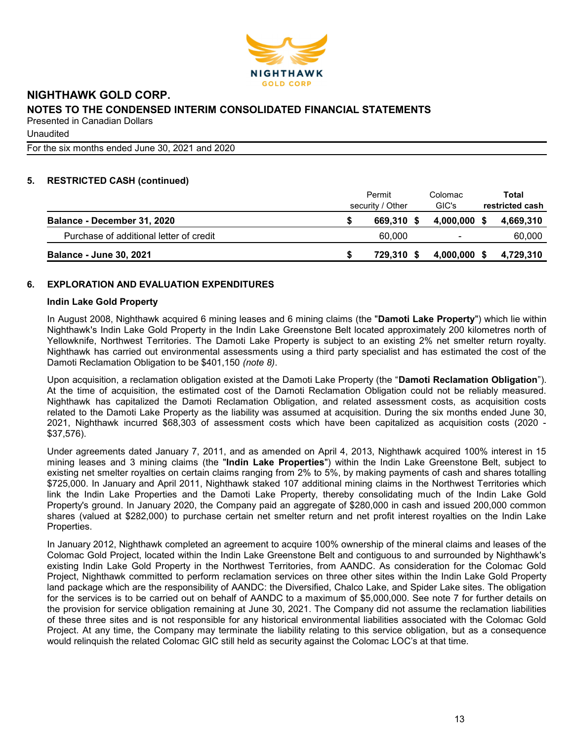

**Unaudited** 

For the six months ended June 30, 2021 and 2020

### 5. RESTRICTED CASH (continued)

|                                         | Permit<br>security / Other |            |  | Colomac<br>GIC's |  | Total<br>restricted cash |  |
|-----------------------------------------|----------------------------|------------|--|------------------|--|--------------------------|--|
| Balance - December 31, 2020             |                            | 669.310 \$ |  | 4.000.000 \$     |  | 4,669,310                |  |
| Purchase of additional letter of credit |                            | 60.000     |  |                  |  | 60,000                   |  |
| <b>Balance - June 30, 2021</b>          |                            | 729.310 \$ |  | $4,000,000$ \$   |  | 4.729.310                |  |

### 6. EXPLORATION AND EVALUATION EXPENDITURES

#### Indin Lake Gold Property

In August 2008, Nighthawk acquired 6 mining leases and 6 mining claims (the "Damoti Lake Property") which lie within Nighthawk's Indin Lake Gold Property in the Indin Lake Greenstone Belt located approximately 200 kilometres north of Yellowknife, Northwest Territories. The Damoti Lake Property is subject to an existing 2% net smelter return royalty. Nighthawk has carried out environmental assessments using a third party specialist and has estimated the cost of the Damoti Reclamation Obligation to be \$401,150 (note 8).

Upon acquisition, a reclamation obligation existed at the Damoti Lake Property (the "Damoti Reclamation Obligation"). At the time of acquisition, the estimated cost of the Damoti Reclamation Obligation could not be reliably measured. Nighthawk has capitalized the Damoti Reclamation Obligation, and related assessment costs, as acquisition costs related to the Damoti Lake Property as the liability was assumed at acquisition. During the six months ended June 30, 2021, Nighthawk incurred \$68,303 of assessment costs which have been capitalized as acquisition costs (2020 - \$37,576).

Under agreements dated January 7, 2011, and as amended on April 4, 2013, Nighthawk acquired 100% interest in 15 mining leases and 3 mining claims (the "Indin Lake Properties") within the Indin Lake Greenstone Belt, subject to existing net smelter royalties on certain claims ranging from 2% to 5%, by making payments of cash and shares totalling \$725,000. In January and April 2011, Nighthawk staked 107 additional mining claims in the Northwest Territories which link the Indin Lake Properties and the Damoti Lake Property, thereby consolidating much of the Indin Lake Gold Property's ground. In January 2020, the Company paid an aggregate of \$280,000 in cash and issued 200,000 common shares (valued at \$282,000) to purchase certain net smelter return and net profit interest royalties on the Indin Lake Properties.

In January 2012, Nighthawk completed an agreement to acquire 100% ownership of the mineral claims and leases of the Colomac Gold Project, located within the Indin Lake Greenstone Belt and contiguous to and surrounded by Nighthawk's existing Indin Lake Gold Property in the Northwest Territories, from AANDC. As consideration for the Colomac Gold Project, Nighthawk committed to perform reclamation services on three other sites within the Indin Lake Gold Property land package which are the responsibility of AANDC: the Diversified, Chalco Lake, and Spider Lake sites. The obligation for the services is to be carried out on behalf of AANDC to a maximum of \$5,000,000. See note 7 for further details on the provision for service obligation remaining at June 30, 2021. The Company did not assume the reclamation liabilities of these three sites and is not responsible for any historical environmental liabilities associated with the Colomac Gold Project. At any time, the Company may terminate the liability relating to this service obligation, but as a consequence would relinquish the related Colomac GIC still held as security against the Colomac LOC's at that time.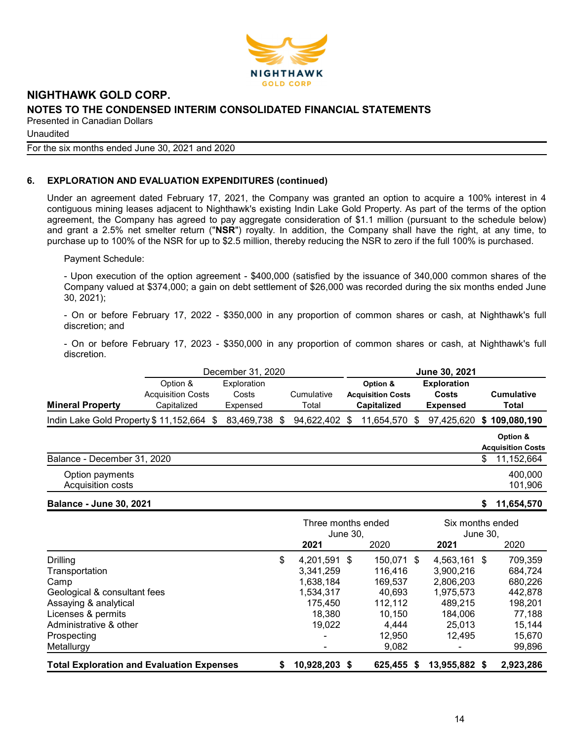

Unaudited

For the six months ended June 30, 2021 and 2020

### 6. EXPLORATION AND EVALUATION EXPENDITURES (continued)

Under an agreement dated February 17, 2021, the Company was granted an option to acquire a 100% interest in 4 contiguous mining leases adjacent to Nighthawk's existing Indin Lake Gold Property. As part of the terms of the option agreement, the Company has agreed to pay aggregate consideration of \$1.1 million (pursuant to the schedule below) and grant a 2.5% net smelter return ("NSR") royalty. In addition, the Company shall have the right, at any time, to purchase up to 100% of the NSR for up to \$2.5 million, thereby reducing the NSR to zero if the full 100% is purchased.

Payment Schedule:

- Upon execution of the option agreement - \$400,000 (satisfied by the issuance of 340,000 common shares of the Company valued at \$374,000; a gain on debt settlement of \$26,000 was recorded during the six months ended June 30, 2021);

- On or before February 17, 2022 - \$350,000 in any proportion of common shares or cash, at Nighthawk's full discretion; and

- On or before February 17, 2023 - \$350,000 in any proportion of common shares or cash, at Nighthawk's full discretion.

| December 31, 2020                     |                                                     |                                  |   |                     |   | June 30, 2021                                              |  |                                                |  |                                      |
|---------------------------------------|-----------------------------------------------------|----------------------------------|---|---------------------|---|------------------------------------------------------------|--|------------------------------------------------|--|--------------------------------------|
| <b>Mineral Property</b>               | Option &<br><b>Acquisition Costs</b><br>Capitalized | Exploration<br>Costs<br>Expensed |   | Cumulative<br>Total |   | Option &<br><b>Acquisition Costs</b><br><b>Capitalized</b> |  | <b>Exploration</b><br>Costs<br><b>Expensed</b> |  | <b>Cumulative</b><br>Total           |
| Indin Lake Gold Property \$11,152,664 | -S                                                  | 83,469,738                       | S | 94,622,402          | S | 11,654,570 \$                                              |  | 97,425,620                                     |  | \$109,080,190                        |
|                                       |                                                     |                                  |   |                     |   |                                                            |  |                                                |  | Option &<br><b>Acquisition Costs</b> |
| Balance - December 31, 2020           |                                                     |                                  |   |                     |   |                                                            |  |                                                |  | 11,152,664                           |
| Option payments<br>Acquisition costs  |                                                     |                                  |   |                     |   |                                                            |  |                                                |  | 400.000<br>101,906                   |

Balance - June 30, 2021 \$ 11,654,570

|                                                  | Three months ended<br>June 30. |               |              | Six months ended<br>June 30. |           |  |
|--------------------------------------------------|--------------------------------|---------------|--------------|------------------------------|-----------|--|
|                                                  |                                | 2021          | 2020         | 2021                         | 2020      |  |
| <b>Drilling</b>                                  | \$                             | 4.201.591 \$  | 150,071 \$   | 4.563.161 \$                 | 709,359   |  |
| Transportation                                   |                                | 3.341.259     | 116.416      | 3.900.216                    | 684,724   |  |
| Camp                                             |                                | 1,638,184     | 169.537      | 2,806,203                    | 680,226   |  |
| Geological & consultant fees                     |                                | 1,534,317     | 40.693       | 1,975,573                    | 442,878   |  |
| Assaying & analytical                            |                                | 175.450       | 112.112      | 489.215                      | 198.201   |  |
| Licenses & permits                               |                                | 18.380        | 10.150       | 184.006                      | 77,188    |  |
| Administrative & other                           |                                | 19.022        | 4.444        | 25.013                       | 15.144    |  |
| Prospecting                                      |                                |               | 12,950       | 12.495                       | 15,670    |  |
| Metallurgy                                       |                                |               | 9,082        |                              | 99,896    |  |
| <b>Total Exploration and Evaluation Expenses</b> | S                              | 10,928,203 \$ | 625.455<br>5 | 13,955,882 \$                | 2,923,286 |  |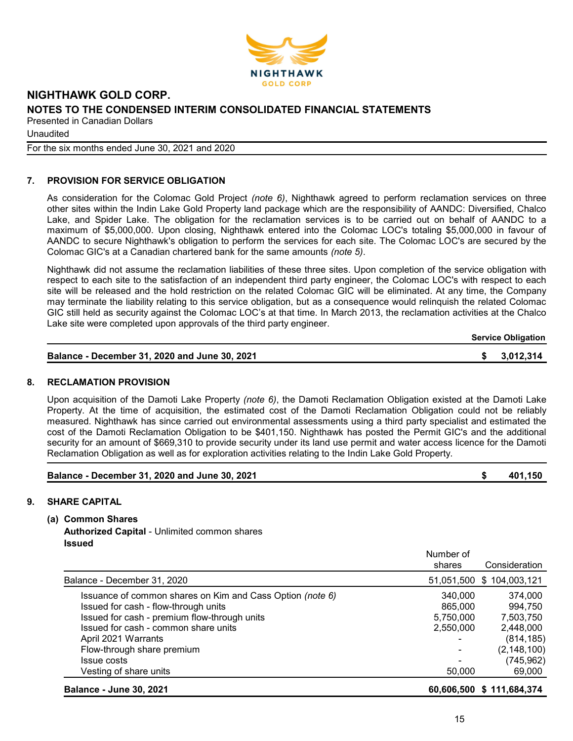

Unaudited

For the six months ended June 30, 2021 and 2020

### 7. PROVISION FOR SERVICE OBLIGATION

As consideration for the Colomac Gold Project (note 6), Nighthawk agreed to perform reclamation services on three other sites within the Indin Lake Gold Property land package which are the responsibility of AANDC: Diversified, Chalco Lake, and Spider Lake. The obligation for the reclamation services is to be carried out on behalf of AANDC to a maximum of \$5,000,000. Upon closing, Nighthawk entered into the Colomac LOC's totaling \$5,000,000 in favour of AANDC to secure Nighthawk's obligation to perform the services for each site. The Colomac LOC's are secured by the Colomac GIC's at a Canadian chartered bank for the same amounts (note 5).

Nighthawk did not assume the reclamation liabilities of these three sites. Upon completion of the service obligation with respect to each site to the satisfaction of an independent third party engineer, the Colomac LOC's with respect to each site will be released and the hold restriction on the related Colomac GIC will be eliminated. At any time, the Company may terminate the liability relating to this service obligation, but as a consequence would relinquish the related Colomac GIC still held as security against the Colomac LOC's at that time. In March 2013, the reclamation activities at the Chalco Lake site were completed upon approvals of the third party engineer.

Service Obligation

| Balance - December 31, 2020 and June 30, 2021 | \$3,012,314 |
|-----------------------------------------------|-------------|
|-----------------------------------------------|-------------|

#### 8. RECLAMATION PROVISION

Upon acquisition of the Damoti Lake Property (note 6), the Damoti Reclamation Obligation existed at the Damoti Lake Property. At the time of acquisition, the estimated cost of the Damoti Reclamation Obligation could not be reliably measured. Nighthawk has since carried out environmental assessments using a third party specialist and estimated the cost of the Damoti Reclamation Obligation to be \$401,150. Nighthawk has posted the Permit GIC's and the additional security for an amount of \$669,310 to provide security under its land use permit and water access licence for the Damoti Reclamation Obligation as well as for exploration activities relating to the Indin Lake Gold Property.

| Balance - December 31, 2020 and June 30, 2021 | 401,150 |
|-----------------------------------------------|---------|
|                                               |         |

#### 9. SHARE CAPITAL

(a) Common Shares

Authorized Capital - Unlimited common shares Issued

|                                                           | Number of  |                           |
|-----------------------------------------------------------|------------|---------------------------|
|                                                           | shares     | Consideration             |
| Balance - December 31, 2020                               |            | 51,051,500 \$ 104,003,121 |
| Issuance of common shares on Kim and Cass Option (note 6) | 340,000    | 374,000                   |
| Issued for cash - flow-through units                      | 865,000    | 994,750                   |
| Issued for cash - premium flow-through units              | 5,750,000  | 7,503,750                 |
| Issued for cash - common share units                      | 2,550,000  | 2,448,000                 |
| April 2021 Warrants                                       | ۰          | (814, 185)                |
| Flow-through share premium                                | -          | (2, 148, 100)             |
| Issue costs                                               |            | (745, 962)                |
| Vesting of share units                                    | 50,000     | 69,000                    |
| <b>Balance - June 30, 2021</b>                            | 60,606,500 | \$111,684,374             |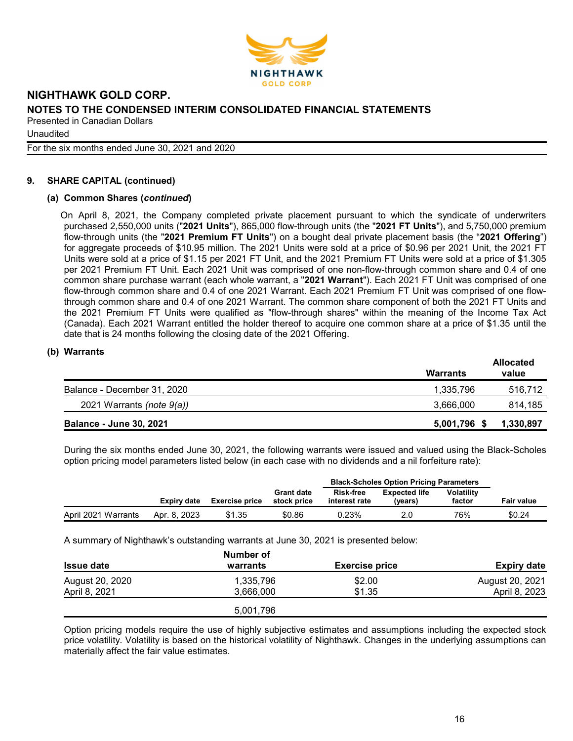

Unaudited

For the six months ended June 30, 2021 and 2020

### 9. SHARE CAPITAL (continued)

#### (a) Common Shares (continued)

On April 8, 2021, the Company completed private placement pursuant to which the syndicate of underwriters purchased 2,550,000 units ("2021 Units"), 865,000 flow-through units (the "2021 FT Units"), and 5,750,000 premium flow-through units (the "2021 Premium FT Units") on a bought deal private placement basis (the "2021 Offering") for aggregate proceeds of \$10.95 million. The 2021 Units were sold at a price of \$0.96 per 2021 Unit, the 2021 FT Units were sold at a price of \$1.15 per 2021 FT Unit, and the 2021 Premium FT Units were sold at a price of \$1.305 per 2021 Premium FT Unit. Each 2021 Unit was comprised of one non-flow-through common share and 0.4 of one common share purchase warrant (each whole warrant, a "2021 Warrant"). Each 2021 FT Unit was comprised of one flow-through common share and 0.4 of one 2021 Warrant. Each 2021 Premium FT Unit was comprised of one flowthrough common share and 0.4 of one 2021 Warrant. The common share component of both the 2021 FT Units and the 2021 Premium FT Units were qualified as "flow-through shares" within the meaning of the Income Tax Act (Canada). Each 2021 Warrant entitled the holder thereof to acquire one common share at a price of \$1.35 until the date that is 24 months following the closing date of the 2021 Offering.

#### (b) Warrants

|                                | <b>Warrants</b> | <b>Allocated</b><br>value |
|--------------------------------|-----------------|---------------------------|
| Balance - December 31, 2020    | 1,335,796       | 516,712                   |
| 2021 Warrants (note 9(a))      | 3,666,000       | 814.185                   |
| <b>Balance - June 30, 2021</b> | 5,001,796       | 1,330,897                 |

During the six months ended June 30, 2021, the following warrants were issued and valued using the Black-Scholes option pricing model parameters listed below (in each case with no dividends and a nil forfeiture rate):

|                     |              |                       |                                  | <b>Black-Scholes Option Pricing Parameters</b> |                                 |                             |                   |
|---------------------|--------------|-----------------------|----------------------------------|------------------------------------------------|---------------------------------|-----------------------------|-------------------|
|                     | Expiry date  | <b>Exercise price</b> | <b>Grant date</b><br>stock price | <b>Risk-free</b><br>interest rate              | <b>Expected life</b><br>(years) | <b>Volatility</b><br>factor | <b>Fair value</b> |
| April 2021 Warrants | Apr. 8, 2023 | \$1.35                | \$0.86                           | 0.23%                                          | 2.0                             | 76%                         | \$0.24            |

A summary of Nighthawk's outstanding warrants at June 30, 2021 is presented below:

|                   | Number of |                       |                    |
|-------------------|-----------|-----------------------|--------------------|
| <b>Issue date</b> | warrants  | <b>Exercise price</b> | <b>Expiry date</b> |
| August 20, 2020   | 1,335,796 | \$2.00                | August 20, 2021    |
| April 8, 2021     | 3.666.000 | \$1.35                | April 8, 2023      |
|                   | 5,001,796 |                       |                    |

Option pricing models require the use of highly subjective estimates and assumptions including the expected stock price volatility. Volatility is based on the historical volatility of Nighthawk. Changes in the underlying assumptions can materially affect the fair value estimates.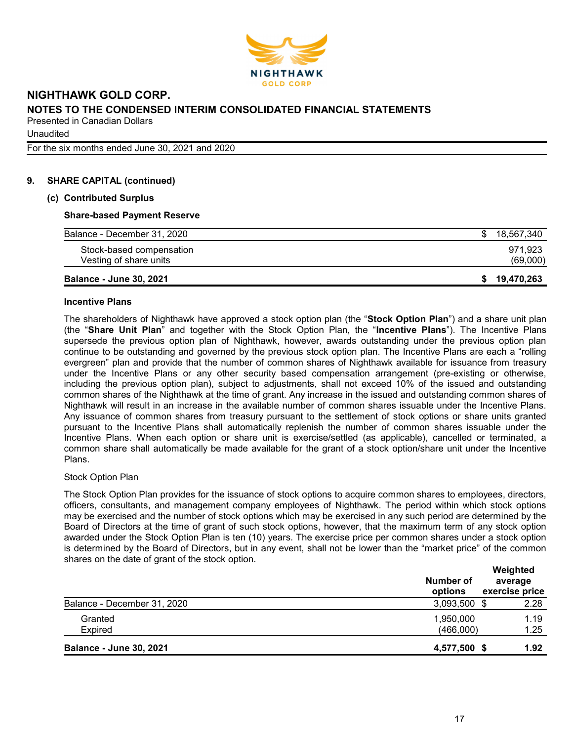

**Unaudited** 

For the six months ended June 30, 2021 and 2020

#### 9. SHARE CAPITAL (continued)

#### (c) Contributed Surplus

#### Share-based Payment Reserve

| <b>Balance - June 30, 2021</b> | 19,470,263 |
|--------------------------------|------------|
| Vesting of share units         | (69,000)   |
| Stock-based compensation       | 971.923    |
| Balance - December 31, 2020    | 18,567,340 |
|                                |            |

#### Incentive Plans

The shareholders of Nighthawk have approved a stock option plan (the "Stock Option Plan") and a share unit plan (the "Share Unit Plan" and together with the Stock Option Plan, the "Incentive Plans"). The Incentive Plans supersede the previous option plan of Nighthawk, however, awards outstanding under the previous option plan continue to be outstanding and governed by the previous stock option plan. The Incentive Plans are each a "rolling evergreen" plan and provide that the number of common shares of Nighthawk available for issuance from treasury under the Incentive Plans or any other security based compensation arrangement (pre-existing or otherwise, including the previous option plan), subject to adjustments, shall not exceed 10% of the issued and outstanding common shares of the Nighthawk at the time of grant. Any increase in the issued and outstanding common shares of Nighthawk will result in an increase in the available number of common shares issuable under the Incentive Plans. Any issuance of common shares from treasury pursuant to the settlement of stock options or share units granted pursuant to the Incentive Plans shall automatically replenish the number of common shares issuable under the Incentive Plans. When each option or share unit is exercise/settled (as applicable), cancelled or terminated, a common share shall automatically be made available for the grant of a stock option/share unit under the Incentive Plans.

#### Stock Option Plan

The Stock Option Plan provides for the issuance of stock options to acquire common shares to employees, directors, officers, consultants, and management company employees of Nighthawk. The period within which stock options may be exercised and the number of stock options which may be exercised in any such period are determined by the Board of Directors at the time of grant of such stock options, however, that the maximum term of any stock option awarded under the Stock Option Plan is ten (10) years. The exercise price per common shares under a stock option is determined by the Board of Directors, but in any event, shall not be lower than the "market price" of the common shares on the date of grant of the stock option.

|                                | Number of<br>options   | Weighted<br>average<br>exercise price |
|--------------------------------|------------------------|---------------------------------------|
| Balance - December 31, 2020    | 3,093,500 \$           | 2.28                                  |
| Granted<br><b>Expired</b>      | 1,950,000<br>(466,000) | 1.19<br>1.25                          |
| <b>Balance - June 30, 2021</b> | 4,577,500 \$           | 1.92                                  |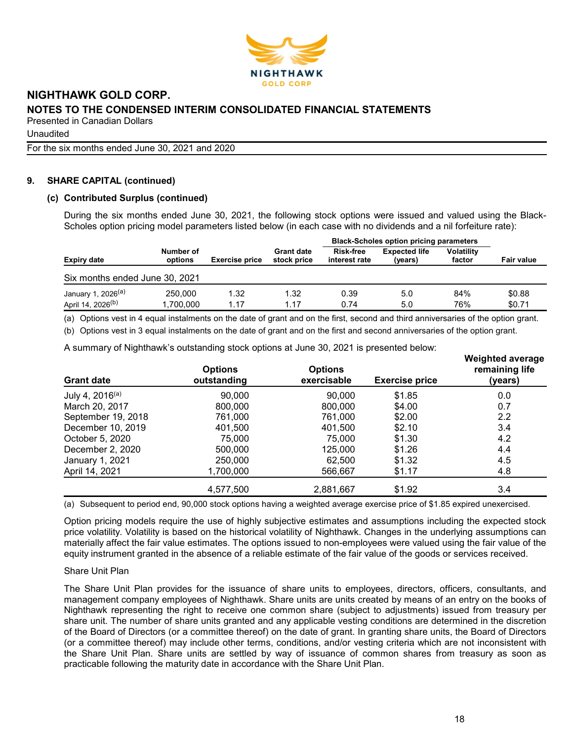

**Unaudited** 

For the six months ended June 30, 2021 and 2020

### 9. SHARE CAPITAL (continued)

#### (c) Contributed Surplus (continued)

During the six months ended June 30, 2021, the following stock options were issued and valued using the Black-Scholes option pricing model parameters listed below (in each case with no dividends and a nil forfeiture rate):

|                                |                      |                       |                                  | <b>Black-Scholes option pricing parameters</b> |                                 |                      |                   |
|--------------------------------|----------------------|-----------------------|----------------------------------|------------------------------------------------|---------------------------------|----------------------|-------------------|
| Expiry date                    | Number of<br>options | <b>Exercise price</b> | <b>Grant date</b><br>stock price | <b>Risk-free</b><br>interest rate              | <b>Expected life</b><br>(years) | Volatility<br>factor | <b>Fair value</b> |
| Six months ended June 30, 2021 |                      |                       |                                  |                                                |                                 |                      |                   |
| January 1, 2026 <sup>(a)</sup> | 250,000              | 1.32                  | 1.32                             | 0.39                                           | 5.0                             | 84%                  | \$0.88            |
| April 14, 2026 <sup>(b)</sup>  | 1.700.000            | 1.17                  | 1.17                             | 0.74                                           | 5.0                             | 76%                  | \$0.71            |

(a) Options vest in 4 equal instalments on the date of grant and on the first, second and third anniversaries of the option grant.

(b) Options vest in 3 equal instalments on the date of grant and on the first and second anniversaries of the option grant.

A summary of Nighthawk's outstanding stock options at June 30, 2021 is presented below:

| <b>Grant date</b>           | <b>Options</b><br>outstanding | <b>Options</b><br>exercisable | <b>Exercise price</b> | <b>Weighted average</b><br>remaining life<br>(years) |
|-----------------------------|-------------------------------|-------------------------------|-----------------------|------------------------------------------------------|
| July 4, 2016 <sup>(a)</sup> | 90,000                        | 90,000                        | \$1.85                | 0.0                                                  |
| March 20, 2017              | 800,000                       | 800,000                       | \$4.00                | 0.7                                                  |
| September 19, 2018          | 761,000                       | 761.000                       | \$2.00                | 2.2                                                  |
| December 10, 2019           | 401,500                       | 401.500                       | \$2.10                | 3.4                                                  |
| October 5, 2020             | 75,000                        | 75,000                        | \$1.30                | 4.2                                                  |
| December 2, 2020            | 500,000                       | 125,000                       | \$1.26                | 4.4                                                  |
| January 1, 2021             | 250,000                       | 62.500                        | \$1.32                | 4.5                                                  |
| April 14, 2021              | 1.700.000                     | 566,667                       | \$1.17                | 4.8                                                  |
|                             | 4,577,500                     | 2,881,667                     | \$1.92                | 3.4                                                  |

(a) Subsequent to period end, 90,000 stock options having a weighted average exercise price of \$1.85 expired unexercised.

Option pricing models require the use of highly subjective estimates and assumptions including the expected stock price volatility. Volatility is based on the historical volatility of Nighthawk. Changes in the underlying assumptions can materially affect the fair value estimates. The options issued to non-employees were valued using the fair value of the equity instrument granted in the absence of a reliable estimate of the fair value of the goods or services received.

#### Share Unit Plan

The Share Unit Plan provides for the issuance of share units to employees, directors, officers, consultants, and management company employees of Nighthawk. Share units are units created by means of an entry on the books of Nighthawk representing the right to receive one common share (subject to adjustments) issued from treasury per share unit. The number of share units granted and any applicable vesting conditions are determined in the discretion of the Board of Directors (or a committee thereof) on the date of grant. In granting share units, the Board of Directors (or a committee thereof) may include other terms, conditions, and/or vesting criteria which are not inconsistent with the Share Unit Plan. Share units are settled by way of issuance of common shares from treasury as soon as practicable following the maturity date in accordance with the Share Unit Plan.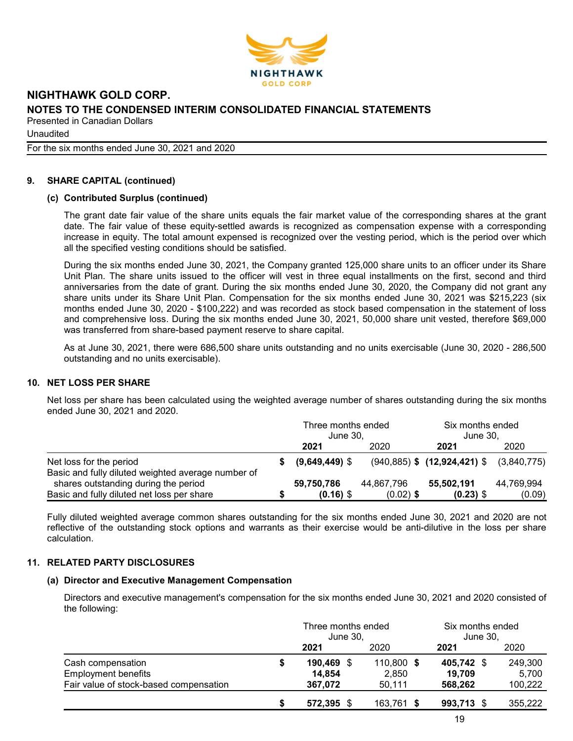

**Unaudited** 

For the six months ended June 30, 2021 and 2020

#### 9. SHARE CAPITAL (continued)

#### (c) Contributed Surplus (continued)

The grant date fair value of the share units equals the fair market value of the corresponding shares at the grant date. The fair value of these equity-settled awards is recognized as compensation expense with a corresponding increase in equity. The total amount expensed is recognized over the vesting period, which is the period over which all the specified vesting conditions should be satisfied.

During the six months ended June 30, 2021, the Company granted 125,000 share units to an officer under its Share Unit Plan. The share units issued to the officer will vest in three equal installments on the first, second and third anniversaries from the date of grant. During the six months ended June 30, 2020, the Company did not grant any share units under its Share Unit Plan. Compensation for the six months ended June 30, 2021 was \$215,223 (six months ended June 30, 2020 - \$100,222) and was recorded as stock based compensation in the statement of loss and comprehensive loss. During the six months ended June 30, 2021, 50,000 share unit vested, therefore \$69,000 was transferred from share-based payment reserve to share capital.

As at June 30, 2021, there were 686,500 share units outstanding and no units exercisable (June 30, 2020 - 286,500 outstanding and no units exercisable).

#### 10. NET LOSS PER SHARE

Net loss per share has been calculated using the weighted average number of shares outstanding during the six months ended June 30, 2021 and 2020.

|                                                                                                                                          | Three months ended<br>June 30, |                           | Six months ended<br>June 30.                   |                      |  |
|------------------------------------------------------------------------------------------------------------------------------------------|--------------------------------|---------------------------|------------------------------------------------|----------------------|--|
|                                                                                                                                          | 2021                           | 2020                      | 2021                                           | 2020                 |  |
| Net loss for the period                                                                                                                  | $(9,649,449)$ \$               |                           | $(940,885)$ \$ $(12,924,421)$ \$ $(3,840,775)$ |                      |  |
| Basic and fully diluted weighted average number of<br>shares outstanding during the period<br>Basic and fully diluted net loss per share | 59,750,786<br>$(0.16)$ \$      | 44,867,796<br>$(0.02)$ \$ | 55,502,191<br>$(0.23)$ \$                      | 44,769,994<br>(0.09) |  |

Fully diluted weighted average common shares outstanding for the six months ended June 30, 2021 and 2020 are not reflective of the outstanding stock options and warrants as their exercise would be anti-dilutive in the loss per share calculation.

### 11. RELATED PARTY DISCLOSURES

#### (a) Director and Executive Management Compensation

Directors and executive management's compensation for the six months ended June 30, 2021 and 2020 consisted of the following:

|                                        |   | Three months ended<br>June 30, |  |            | Six months ended<br>June 30, |  |         |
|----------------------------------------|---|--------------------------------|--|------------|------------------------------|--|---------|
|                                        |   | 2021                           |  | 2020       | 2021                         |  | 2020    |
| Cash compensation                      | S | 190,469 \$                     |  | 110,800 \$ | 405,742 \$                   |  | 249,300 |
| <b>Employment benefits</b>             |   | 14,854                         |  | 2,850      | 19,709                       |  | 5,700   |
| Fair value of stock-based compensation |   | 367,072                        |  | 50,111     | 568,262                      |  | 100,222 |
|                                        |   | 572.395 \$                     |  | 163,761 \$ | 993,713 \$                   |  | 355,222 |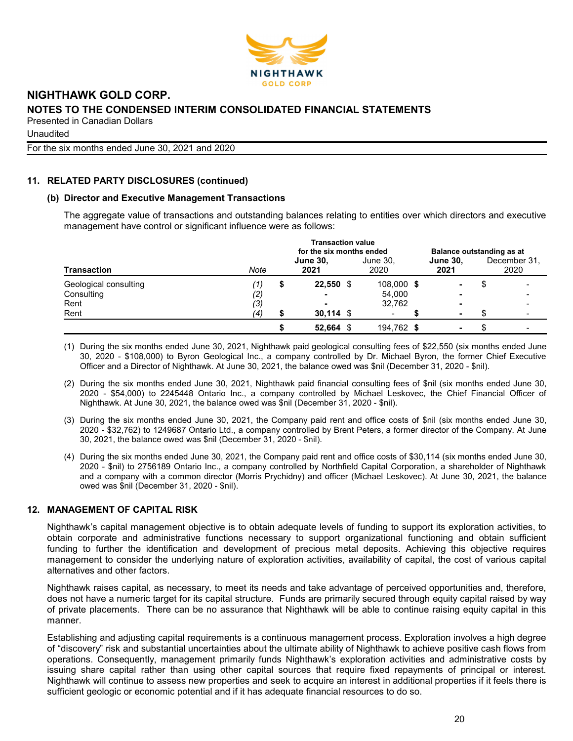

**Unaudited** 

For the six months ended June 30, 2021 and 2020

### 11. RELATED PARTY DISCLOSURES (continued)

#### (b) Director and Executive Management Transactions

The aggregate value of transactions and outstanding balances relating to entities over which directors and executive management have control or significant influence were as follows:

| <b>Transaction</b>    |      | <b>Transaction value</b><br>for the six months ended | Balance outstanding as at |                  |                         |  |                      |
|-----------------------|------|------------------------------------------------------|---------------------------|------------------|-------------------------|--|----------------------|
|                       | Note |                                                      | <b>June 30,</b><br>2021   | June 30,<br>2020 | <b>June 30,</b><br>2021 |  | December 31.<br>2020 |
| Geological consulting | ′1)  | S                                                    | $22,550$ \$               | 108,000 \$       | ۰                       |  |                      |
| Consulting            | (2)  |                                                      | $\overline{\phantom{0}}$  | 54,000           |                         |  |                      |
| Rent                  | (3)  |                                                      |                           | 32.762           |                         |  |                      |
| Rent                  | (4)  |                                                      | $30,114$ \$               |                  | -                       |  |                      |
|                       |      |                                                      | 52,664                    | 194,762 \$       |                         |  |                      |

(1) During the six months ended June 30, 2021, Nighthawk paid geological consulting fees of \$22,550 (six months ended June 30, 2020 - \$108,000) to Byron Geological Inc., a company controlled by Dr. Michael Byron, the former Chief Executive Officer and a Director of Nighthawk. At June 30, 2021, the balance owed was \$nil (December 31, 2020 - \$nil).

- (2) During the six months ended June 30, 2021, Nighthawk paid financial consulting fees of \$nil (six months ended June 30, 2020 - \$54,000) to 2245448 Ontario Inc., a company controlled by Michael Leskovec, the Chief Financial Officer of Nighthawk. At June 30, 2021, the balance owed was \$nil (December 31, 2020 - \$nil).
- (3) During the six months ended June 30, 2021, the Company paid rent and office costs of \$nil (six months ended June 30, 2020 - \$32,762) to 1249687 Ontario Ltd., a company controlled by Brent Peters, a former director of the Company. At June 30, 2021, the balance owed was \$nil (December 31, 2020 - \$nil).
- (4) During the six months ended June 30, 2021, the Company paid rent and office costs of \$30,114 (six months ended June 30, 2020 - \$nil) to 2756189 Ontario Inc., a company controlled by Northfield Capital Corporation, a shareholder of Nighthawk and a company with a common director (Morris Prychidny) and officer (Michael Leskovec). At June 30, 2021, the balance owed was \$nil (December 31, 2020 - \$nil).

### 12. MANAGEMENT OF CAPITAL RISK

Nighthawk's capital management objective is to obtain adequate levels of funding to support its exploration activities, to obtain corporate and administrative functions necessary to support organizational functioning and obtain sufficient funding to further the identification and development of precious metal deposits. Achieving this objective requires management to consider the underlying nature of exploration activities, availability of capital, the cost of various capital alternatives and other factors.

Nighthawk raises capital, as necessary, to meet its needs and take advantage of perceived opportunities and, therefore, does not have a numeric target for its capital structure. Funds are primarily secured through equity capital raised by way of private placements. There can be no assurance that Nighthawk will be able to continue raising equity capital in this manner.

Establishing and adjusting capital requirements is a continuous management process. Exploration involves a high degree of "discovery" risk and substantial uncertainties about the ultimate ability of Nighthawk to achieve positive cash flows from operations. Consequently, management primarily funds Nighthawk's exploration activities and administrative costs by issuing share capital rather than using other capital sources that require fixed repayments of principal or interest. Nighthawk will continue to assess new properties and seek to acquire an interest in additional properties if it feels there is sufficient geologic or economic potential and if it has adequate financial resources to do so.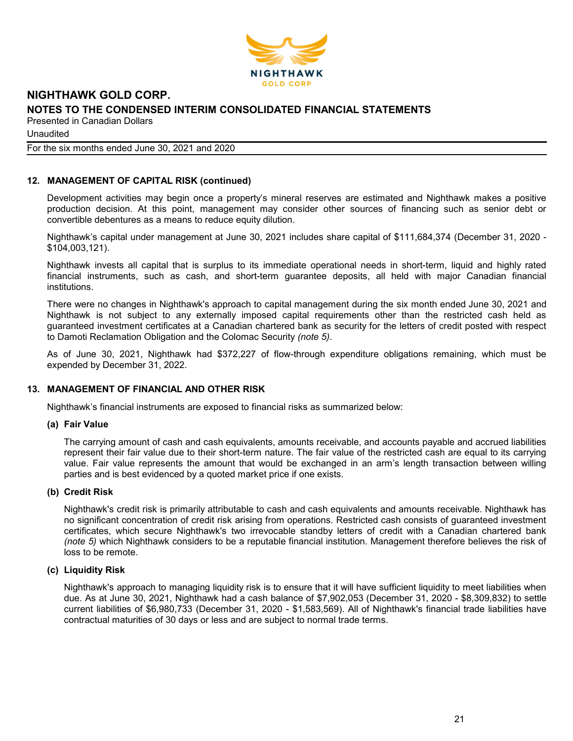

**Unaudited** 

#### For the six months ended June 30, 2021 and 2020

#### 12. MANAGEMENT OF CAPITAL RISK (continued)

Development activities may begin once a property's mineral reserves are estimated and Nighthawk makes a positive production decision. At this point, management may consider other sources of financing such as senior debt or convertible debentures as a means to reduce equity dilution.

Nighthawk's capital under management at June 30, 2021 includes share capital of \$111,684,374 (December 31, 2020 - \$104,003,121).

Nighthawk invests all capital that is surplus to its immediate operational needs in short-term, liquid and highly rated financial instruments, such as cash, and short-term guarantee deposits, all held with major Canadian financial institutions.

There were no changes in Nighthawk's approach to capital management during the six month ended June 30, 2021 and Nighthawk is not subject to any externally imposed capital requirements other than the restricted cash held as guaranteed investment certificates at a Canadian chartered bank as security for the letters of credit posted with respect to Damoti Reclamation Obligation and the Colomac Security (note 5).

As of June 30, 2021, Nighthawk had \$372,227 of flow-through expenditure obligations remaining, which must be expended by December 31, 2022.

#### 13. MANAGEMENT OF FINANCIAL AND OTHER RISK

Nighthawk's financial instruments are exposed to financial risks as summarized below:

#### (a) Fair Value

The carrying amount of cash and cash equivalents, amounts receivable, and accounts payable and accrued liabilities represent their fair value due to their short-term nature. The fair value of the restricted cash are equal to its carrying value. Fair value represents the amount that would be exchanged in an arm's length transaction between willing parties and is best evidenced by a quoted market price if one exists.

#### (b) Credit Risk

Nighthawk's credit risk is primarily attributable to cash and cash equivalents and amounts receivable. Nighthawk has no significant concentration of credit risk arising from operations. Restricted cash consists of guaranteed investment certificates, which secure Nighthawk's two irrevocable standby letters of credit with a Canadian chartered bank (note 5) which Nighthawk considers to be a reputable financial institution. Management therefore believes the risk of loss to be remote.

#### (c) Liquidity Risk

Nighthawk's approach to managing liquidity risk is to ensure that it will have sufficient liquidity to meet liabilities when due. As at June 30, 2021, Nighthawk had a cash balance of \$7,902,053 (December 31, 2020 - \$8,309,832) to settle current liabilities of \$6,980,733 (December 31, 2020 - \$1,583,569). All of Nighthawk's financial trade liabilities have contractual maturities of 30 days or less and are subject to normal trade terms.